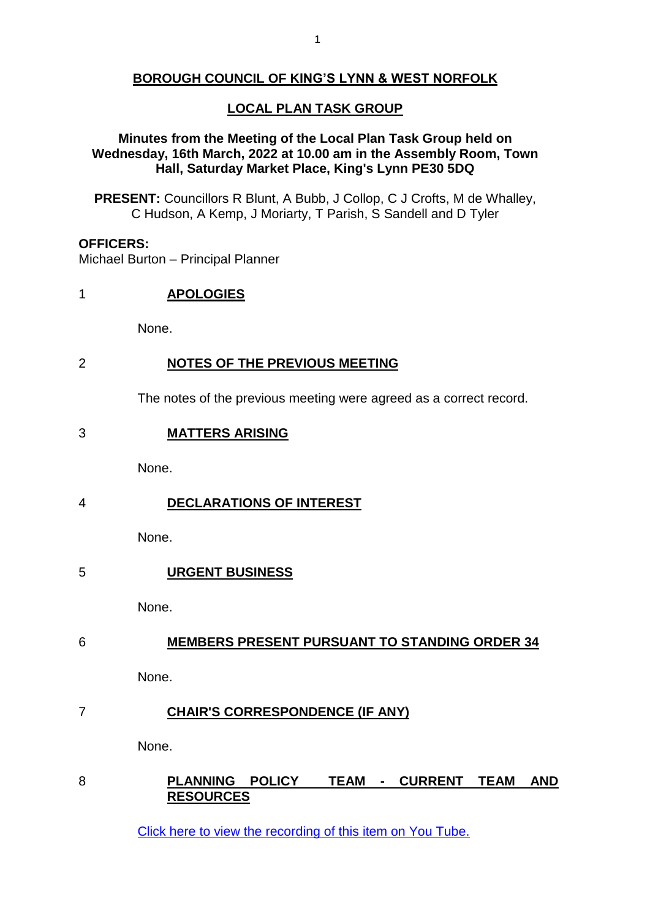#### **BOROUGH COUNCIL OF KING'S LYNN & WEST NORFOLK**

#### **LOCAL PLAN TASK GROUP**

#### **Minutes from the Meeting of the Local Plan Task Group held on Wednesday, 16th March, 2022 at 10.00 am in the Assembly Room, Town Hall, Saturday Market Place, King's Lynn PE30 5DQ**

**PRESENT:** Councillors R Blunt, A Bubb, J Collop, C J Crofts, M de Whalley, C Hudson, A Kemp, J Moriarty, T Parish, S Sandell and D Tyler

#### **OFFICERS:**

Michael Burton – Principal Planner

#### 1 **APOLOGIES**

None.

#### 2 **NOTES OF THE PREVIOUS MEETING**

The notes of the previous meeting were agreed as a correct record.

#### 3 **MATTERS ARISING**

None.

#### 4 **DECLARATIONS OF INTEREST**

None.

5 **URGENT BUSINESS**

None.

#### 6 **MEMBERS PRESENT PURSUANT TO STANDING ORDER 34**

None.

#### 7 **CHAIR'S CORRESPONDENCE (IF ANY)**

None.

#### 8 **PLANNING POLICY TEAM - CURRENT TEAM AND RESOURCES**

[Click here to view the recording of this item on You Tube.](https://youtu.be/o79LnGlxn58?t=191)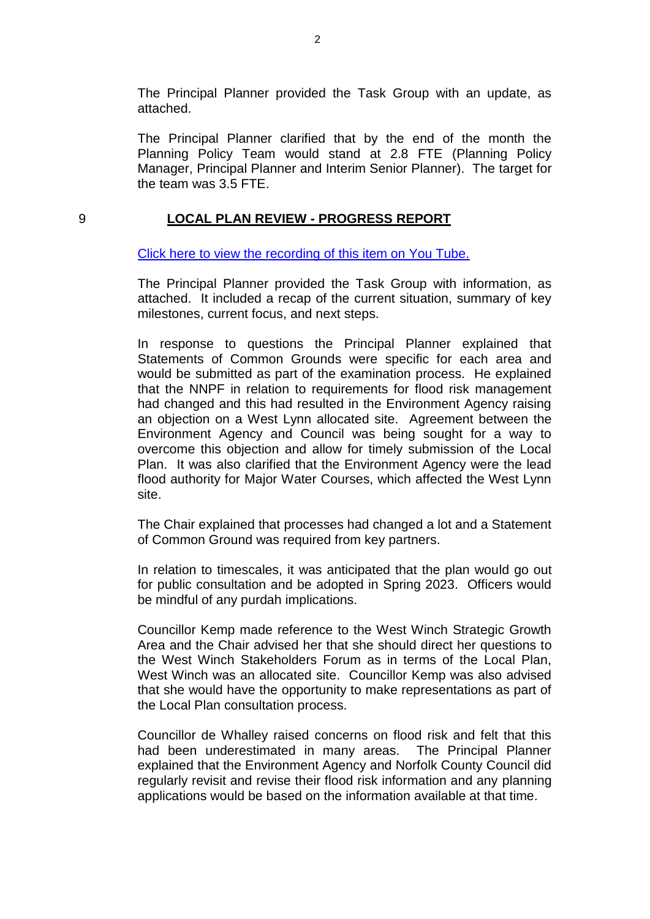The Principal Planner provided the Task Group with an update, as attached.

The Principal Planner clarified that by the end of the month the Planning Policy Team would stand at 2.8 FTE (Planning Policy Manager, Principal Planner and Interim Senior Planner). The target for the team was 3.5 FTE.

#### 9 **LOCAL PLAN REVIEW - PROGRESS REPORT**

[Click here to view the recording of this item on You Tube.](https://youtu.be/o79LnGlxn58?t=634)

The Principal Planner provided the Task Group with information, as attached. It included a recap of the current situation, summary of key milestones, current focus, and next steps.

In response to questions the Principal Planner explained that Statements of Common Grounds were specific for each area and would be submitted as part of the examination process. He explained that the NNPF in relation to requirements for flood risk management had changed and this had resulted in the Environment Agency raising an objection on a West Lynn allocated site. Agreement between the Environment Agency and Council was being sought for a way to overcome this objection and allow for timely submission of the Local Plan. It was also clarified that the Environment Agency were the lead flood authority for Major Water Courses, which affected the West Lynn site.

The Chair explained that processes had changed a lot and a Statement of Common Ground was required from key partners.

In relation to timescales, it was anticipated that the plan would go out for public consultation and be adopted in Spring 2023. Officers would be mindful of any purdah implications.

Councillor Kemp made reference to the West Winch Strategic Growth Area and the Chair advised her that she should direct her questions to the West Winch Stakeholders Forum as in terms of the Local Plan, West Winch was an allocated site. Councillor Kemp was also advised that she would have the opportunity to make representations as part of the Local Plan consultation process.

Councillor de Whalley raised concerns on flood risk and felt that this had been underestimated in many areas. The Principal Planner explained that the Environment Agency and Norfolk County Council did regularly revisit and revise their flood risk information and any planning applications would be based on the information available at that time.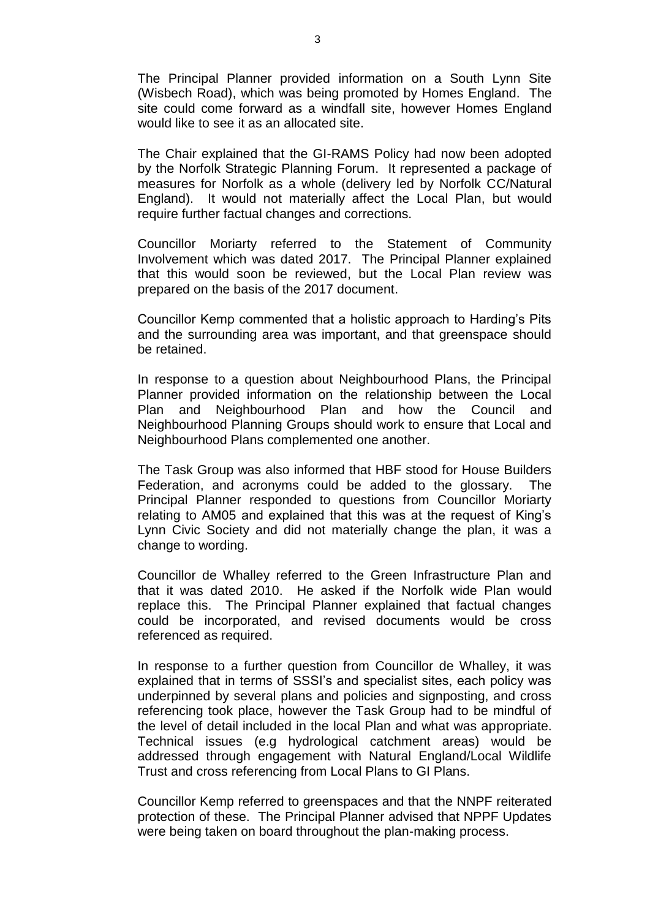The Principal Planner provided information on a South Lynn Site (Wisbech Road), which was being promoted by Homes England. The site could come forward as a windfall site, however Homes England would like to see it as an allocated site.

The Chair explained that the GI-RAMS Policy had now been adopted by the Norfolk Strategic Planning Forum. It represented a package of measures for Norfolk as a whole (delivery led by Norfolk CC/Natural England). It would not materially affect the Local Plan, but would require further factual changes and corrections.

Councillor Moriarty referred to the Statement of Community Involvement which was dated 2017. The Principal Planner explained that this would soon be reviewed, but the Local Plan review was prepared on the basis of the 2017 document.

Councillor Kemp commented that a holistic approach to Harding's Pits and the surrounding area was important, and that greenspace should be retained.

In response to a question about Neighbourhood Plans, the Principal Planner provided information on the relationship between the Local Plan and Neighbourhood Plan and how the Council and Neighbourhood Planning Groups should work to ensure that Local and Neighbourhood Plans complemented one another.

The Task Group was also informed that HBF stood for House Builders Federation, and acronyms could be added to the glossary. The Principal Planner responded to questions from Councillor Moriarty relating to AM05 and explained that this was at the request of King's Lynn Civic Society and did not materially change the plan, it was a change to wording.

Councillor de Whalley referred to the Green Infrastructure Plan and that it was dated 2010. He asked if the Norfolk wide Plan would replace this. The Principal Planner explained that factual changes could be incorporated, and revised documents would be cross referenced as required.

In response to a further question from Councillor de Whalley, it was explained that in terms of SSSI's and specialist sites, each policy was underpinned by several plans and policies and signposting, and cross referencing took place, however the Task Group had to be mindful of the level of detail included in the local Plan and what was appropriate. Technical issues (e.g hydrological catchment areas) would be addressed through engagement with Natural England/Local Wildlife Trust and cross referencing from Local Plans to GI Plans.

Councillor Kemp referred to greenspaces and that the NNPF reiterated protection of these. The Principal Planner advised that NPPF Updates were being taken on board throughout the plan-making process.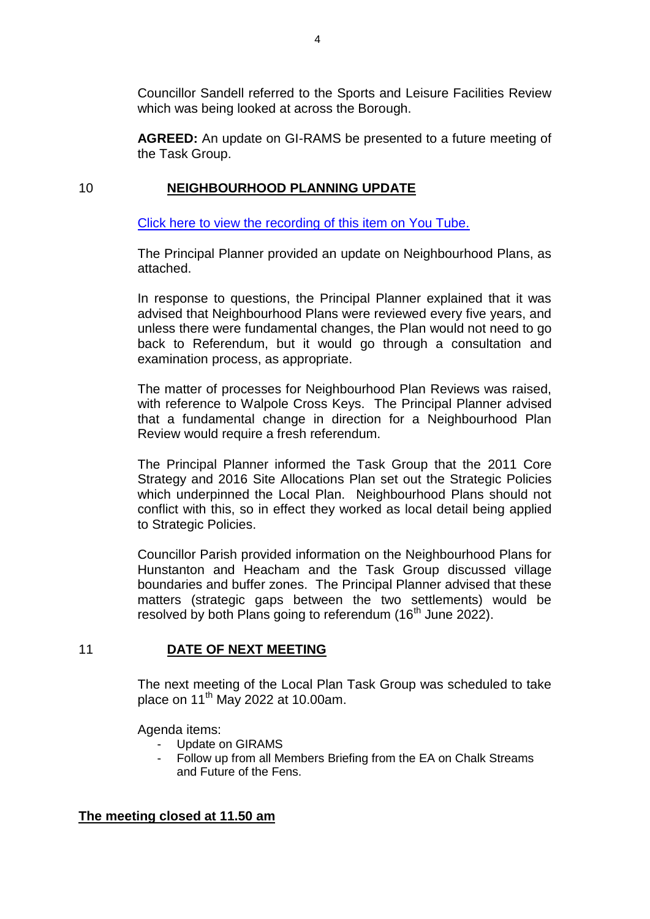Councillor Sandell referred to the Sports and Leisure Facilities Review which was being looked at across the Borough.

**AGREED:** An update on GI-RAMS be presented to a future meeting of the Task Group.

#### 10 **NEIGHBOURHOOD PLANNING UPDATE**

[Click here to view the recording of this item on You Tube.](https://youtu.be/o79LnGlxn58?t=5573)

The Principal Planner provided an update on Neighbourhood Plans, as attached.

In response to questions, the Principal Planner explained that it was advised that Neighbourhood Plans were reviewed every five years, and unless there were fundamental changes, the Plan would not need to go back to Referendum, but it would go through a consultation and examination process, as appropriate.

The matter of processes for Neighbourhood Plan Reviews was raised, with reference to Walpole Cross Keys. The Principal Planner advised that a fundamental change in direction for a Neighbourhood Plan Review would require a fresh referendum.

The Principal Planner informed the Task Group that the 2011 Core Strategy and 2016 Site Allocations Plan set out the Strategic Policies which underpinned the Local Plan. Neighbourhood Plans should not conflict with this, so in effect they worked as local detail being applied to Strategic Policies.

Councillor Parish provided information on the Neighbourhood Plans for Hunstanton and Heacham and the Task Group discussed village boundaries and buffer zones. The Principal Planner advised that these matters (strategic gaps between the two settlements) would be resolved by both Plans going to referendum  $(16<sup>th</sup>$  June 2022).

#### 11 **DATE OF NEXT MEETING**

The next meeting of the Local Plan Task Group was scheduled to take place on 11<sup>th</sup> May 2022 at 10.00am.

Agenda items:

- Update on GIRAMS
- Follow up from all Members Briefing from the EA on Chalk Streams and Future of the Fens.

#### **The meeting closed at 11.50 am**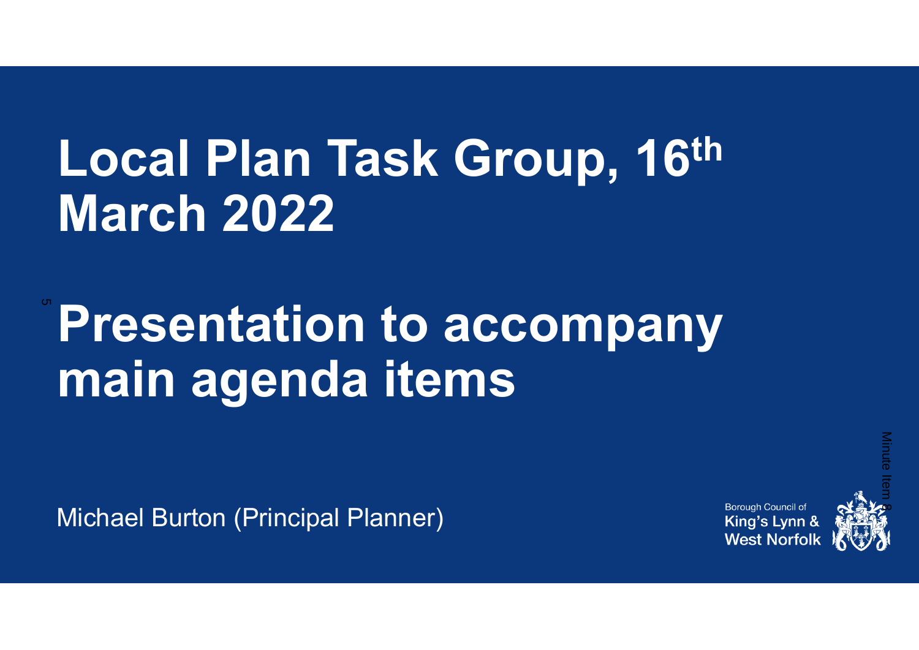# **Local Plan Task Group, 16th March 2022**

**Presentation to accompany main agenda items** 5

Michael Burton (Principal Planner)

Borough Council of King's Lynn & **West Norfol** 

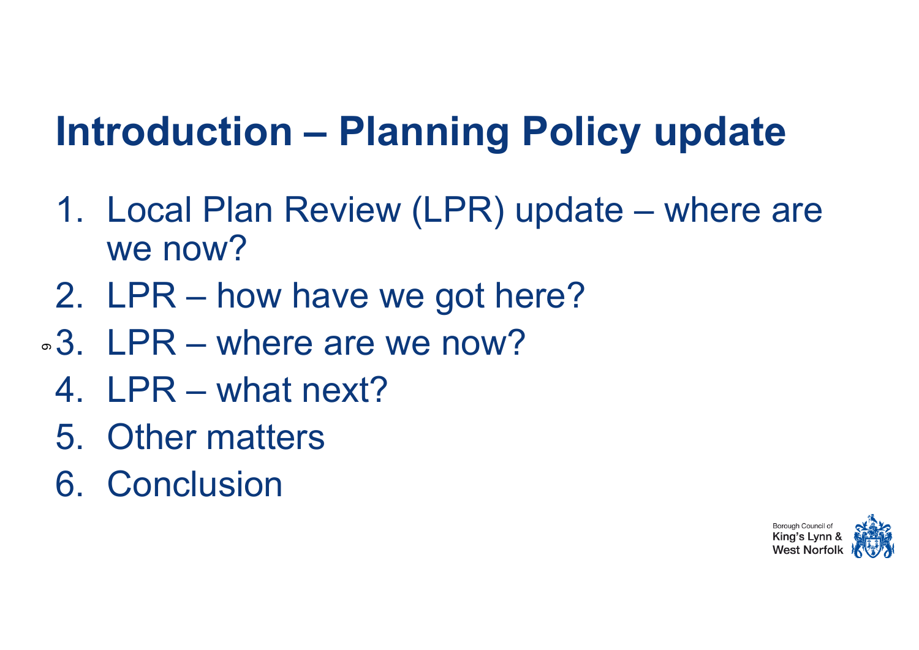### **Introduction – Planning Policy update**

- 1. Local Plan Review (LPR) update where are we now?
- 2. LPR how have we got here?
- $\circ$ 3. LPR where are we now?
- 4. LPR what next?
- 5. Other matters
- 6. Conclusion

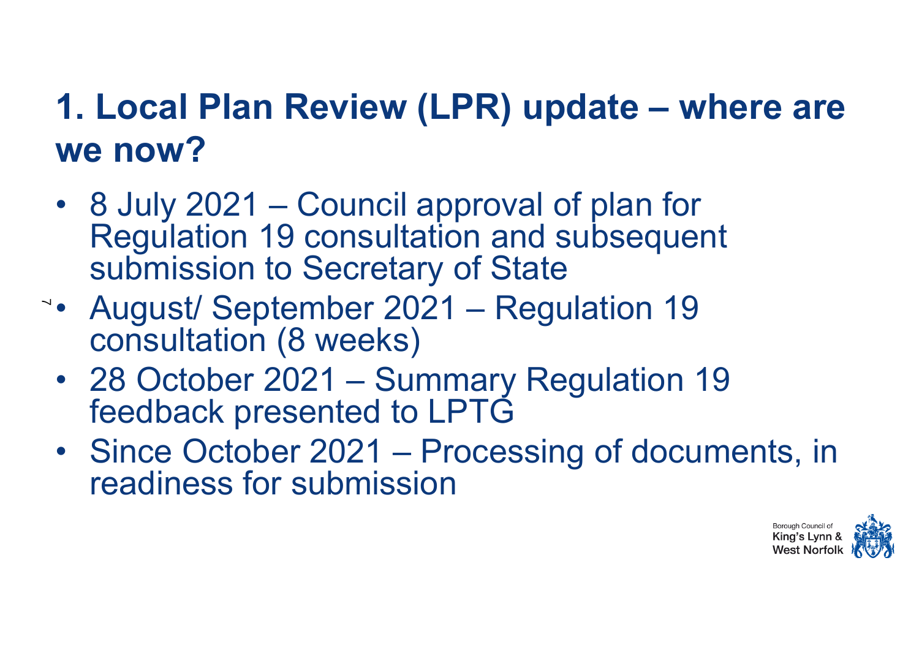### **1. Local Plan Review (LPR) update – where are we now?**

- 8 July 2021 Council approval of plan for Regulation 19 consultation and subsequent submission to Secretary of State
- August/ September 2021 Regulation 19 7consultation (8 weeks)
	- 28 October 2021 Summary Regulation 19 feedback presented to LPTG
	- Since October 2021 Processing of documents, in readiness for submission

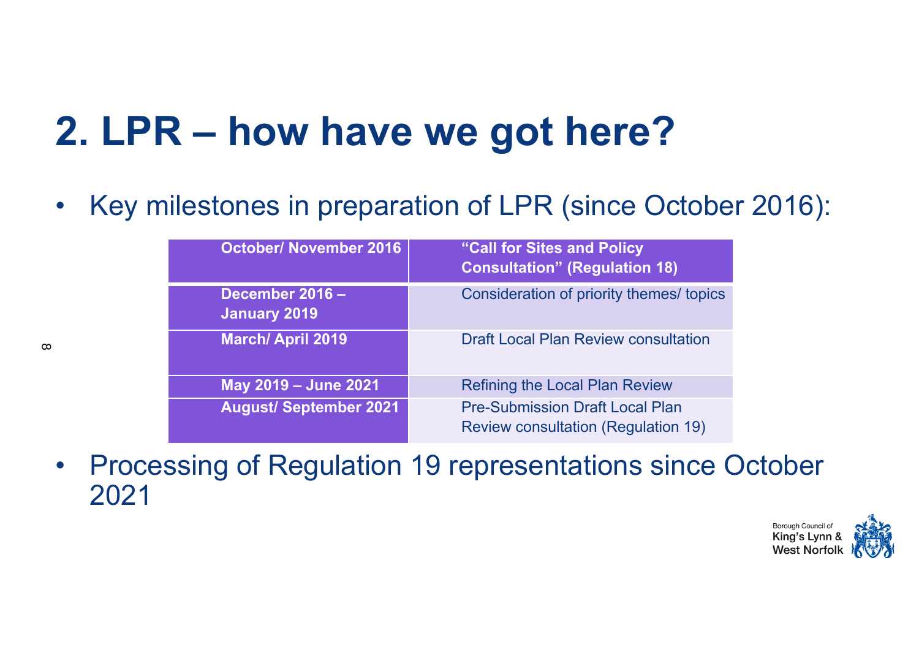### **2. LPR – how have we got here?**

 $\bullet$ Key milestones in preparation of LPR (since October 2016):

| <b>October/ November 2016</b>   | "Call for Sites and Policy"<br><b>Consultation" (Regulation 18)</b>                  |
|---------------------------------|--------------------------------------------------------------------------------------|
| December 2016 -<br>January 2019 | Consideration of priority themes/ topics                                             |
| <b>March/April 2019</b>         | <b>Draft Local Plan Review consultation</b>                                          |
| May 2019 - June 2021            | <b>Refining the Local Plan Review</b>                                                |
| <b>August/September 2021</b>    | <b>Pre-Submission Draft Local Plan</b><br><b>Review consultation (Regulation 19)</b> |

• Processing of Regulation 19 representations since October 2021

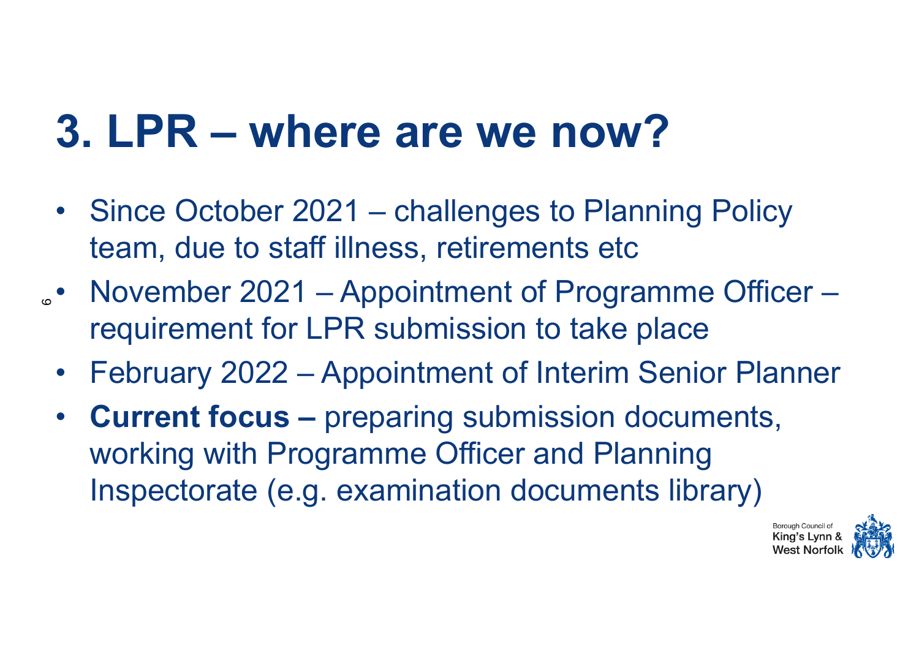## **3. LPR – where are we now?**

- Since October 2021 challenges to Planning Policy team, due to staff illness, retirements etc
- November 2021 Appointment of Programme Officer requirement for LPR submission to take place
	- February 2022 Appointment of Interim Senior Planner
	- • **Current focus –** preparing submission documents, working with Programme Officer and Planning Inspectorate (e.g. examination documents library)

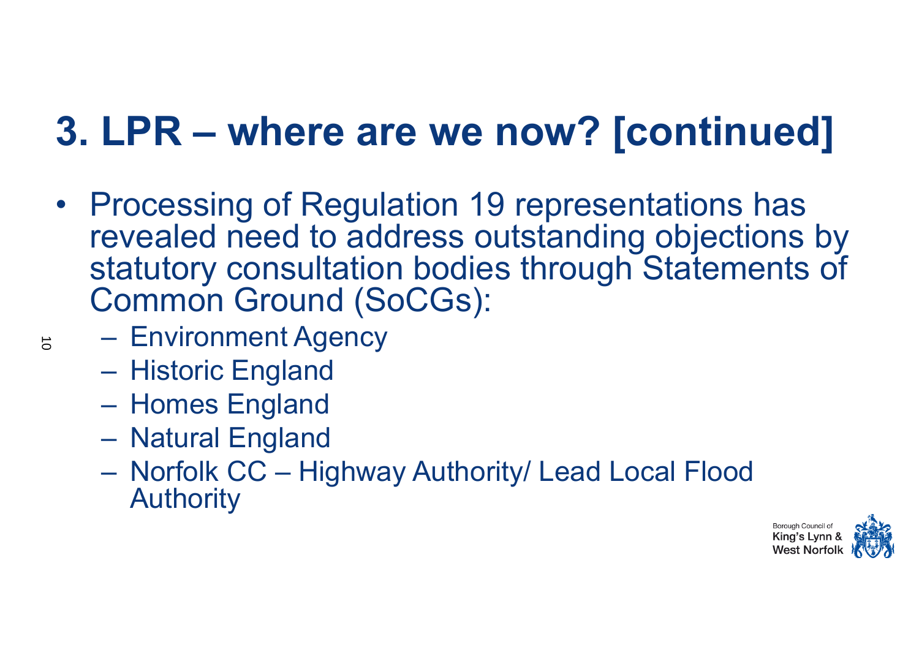### **3. LPR – where are we now? [continued]**

- Processing of Regulation 19 representations has revealed need to address outstanding objections by statutory consultation bodies through Statements of Common Ground (SoCGs):
	- Environment Agency
	- Historic England
	- Homes England
	- Natural England
	- – Norfolk CC – Highway Authority/ Lead Local Flood Authority

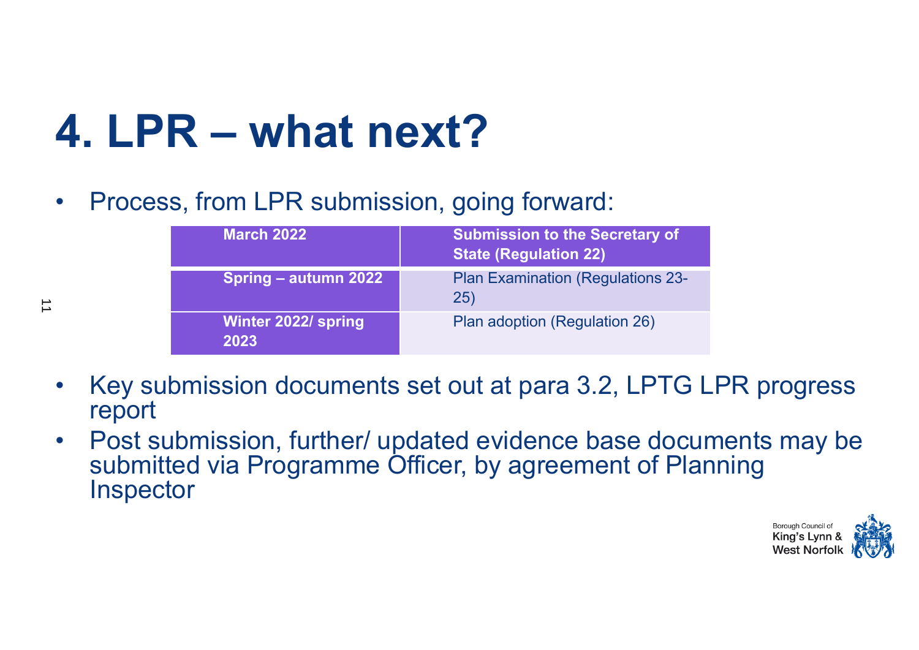## **4. LPR – what next?**

 $\overrightarrow{1}$ 

 $\bullet$ Process, from LPR submission, going forward:

| <b>March 2022</b>                  | <b>Submission to the Secretary of</b><br><b>State (Regulation 22)</b> |
|------------------------------------|-----------------------------------------------------------------------|
| <b>Spring - autumn 2022</b>        | <b>Plan Examination (Regulations 23-</b><br>25)                       |
| <b>Winter 2022/ spring</b><br>2023 | Plan adoption (Regulation 26)                                         |

- • Key submission documents set out at para 3.2, LPTG LPR progress report
- $\bullet$  Post submission, further/ updated evidence base documents may be submitted via Programme Officer, by agreement of Planning **Inspector**

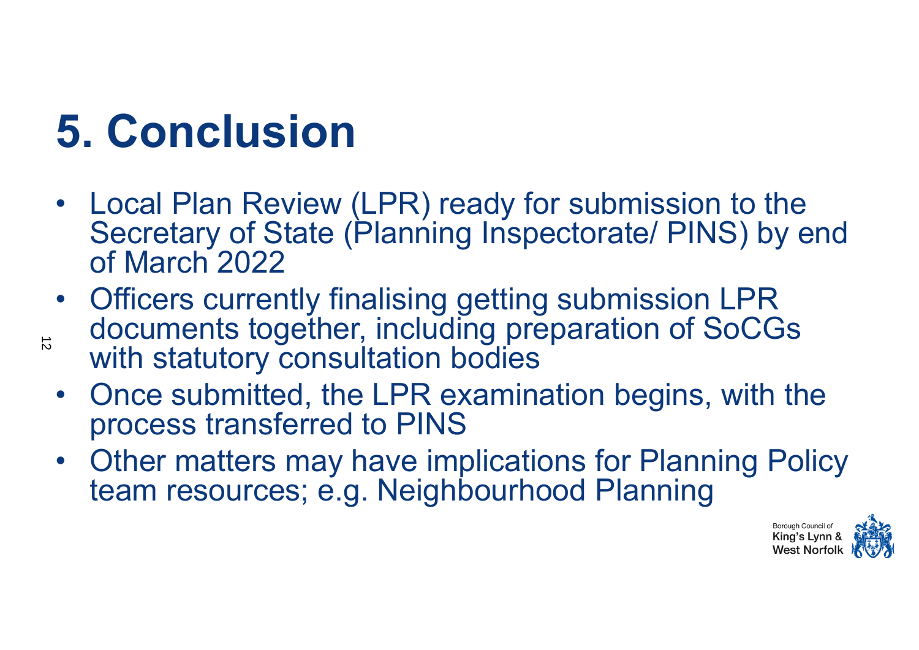# **5. Conclusion**

- Local Plan Review (LPR) ready for submission to the Secretary of State (Planning Inspectorate/ PINS) by end of March 2022
- Officers currently finalising getting submission LPR documents together, including preparation of SoCGs with statutory consultation bodies  $\vec{D}$ 
	- Once submitted, the LPR examination begins, with the process transferred to PINS
	- Other matters may have implications for Planning Policy team resources; e.g. Neighbourhood Planning